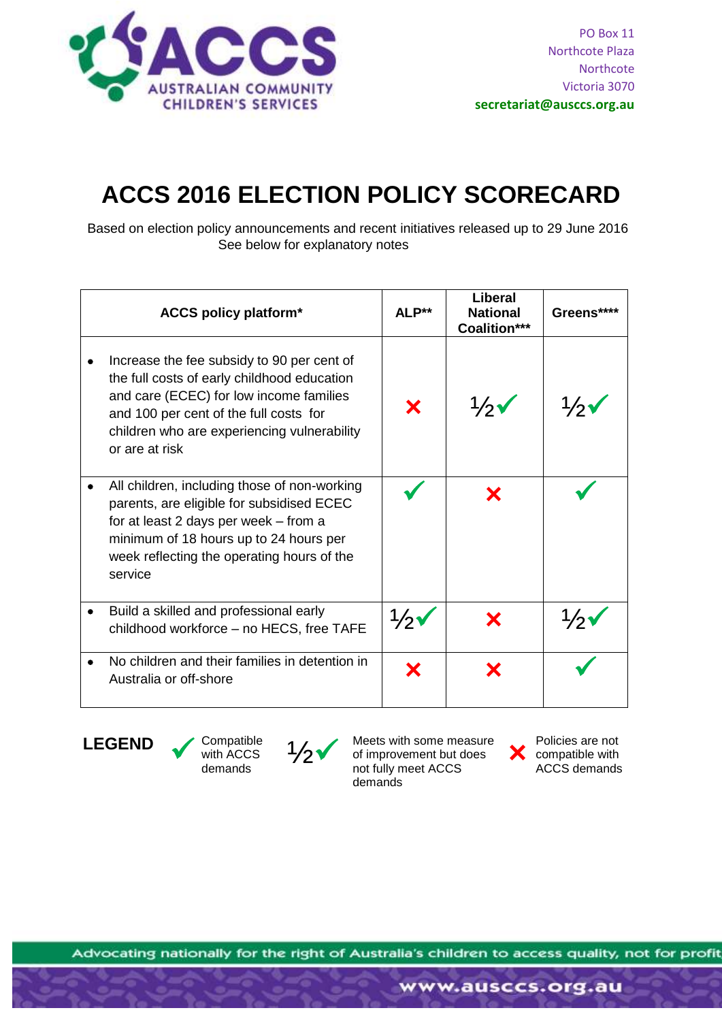

## **ACCS 2016 ELECTION POLICY SCORECARD**

Based on election policy announcements and recent initiatives released up to 29 June 2016 See below for explanatory notes

| <b>ACCS policy platform*</b>                                                                                                                                                                                                                    | ALP**         | Liberal<br><b>National</b><br><b>Coalition***</b> | Greens****    |
|-------------------------------------------------------------------------------------------------------------------------------------------------------------------------------------------------------------------------------------------------|---------------|---------------------------------------------------|---------------|
| Increase the fee subsidy to 90 per cent of<br>the full costs of early childhood education<br>and care (ECEC) for low income families<br>and 100 per cent of the full costs for<br>children who are experiencing vulnerability<br>or are at risk |               | $\frac{1}{2}$                                     | $\frac{1}{2}$ |
| All children, including those of non-working<br>parents, are eligible for subsidised ECEC<br>for at least 2 days per week - from a<br>minimum of 18 hours up to 24 hours per<br>week reflecting the operating hours of the<br>service           |               |                                                   |               |
| Build a skilled and professional early<br>childhood workforce - no HECS, free TAFE                                                                                                                                                              | $\frac{1}{2}$ |                                                   |               |
| No children and their families in detention in<br>Australia or off-shore                                                                                                                                                                        |               |                                                   |               |



Compatible with ACCS demands



Meets with some measure of improvement but does not fully meet ACCS demands

**•** Policies are not<br>
compatible with<br>
ACCS demands Policies are not ACCS demands

Advocating nationally for the right of Australia's children to access quality, not for profit

www.ausccs.org.au